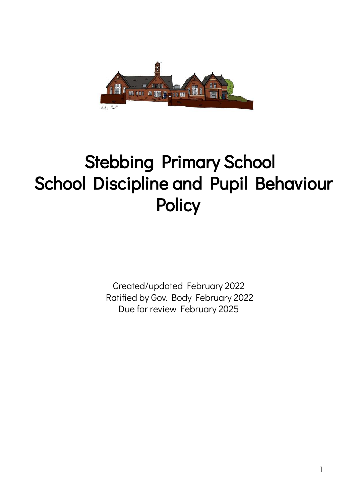

# Stebbing Primary School School Discipline and Pupil Behaviour **Policy**

Created/updated February 2022 Ratified by Gov. Body February 2022 Due for review February 2025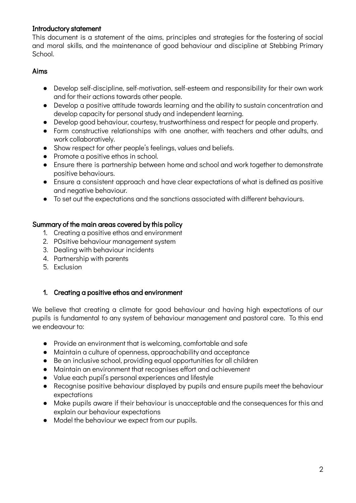## Introductory statement

This document is a statement of the aims, principles and strategies for the fostering of social and moral skills, and the maintenance of good behaviour and discipline at Stebbing Primary School.

## Aims

- Develop self-discipline, self-motivation, self-esteem and responsibility for their own work and for their actions towards other people.
- Develop a positive attitude towards learning and the ability to sustain concentration and develop capacity for personal study and independent learning.
- Develop good behaviour, courtesy, trustworthiness and respect for people and property.
- Form constructive relationships with one another, with teachers and other adults, and work collaboratively.
- Show respect for other people's feelings, values and beliefs.
- Promote a positive ethos in school.
- Ensure there is partnership between home and school and work together to demonstrate positive behaviours.
- Ensure a consistent approach and have clear expectations of what is defined as positive and negative behaviour.
- To set out the expectations and the sanctions associated with different behaviours.

## Summary of the main areas covered by this policy

- 1. Creating a positive ethos and environment
- 2. POsitive behaviour management system
- 3. Dealing with behaviour incidents
- 4. Partnership with parents
- 5. Exclusion

# 1. Creating a positive ethos and environment

We believe that creating a climate for good behaviour and having high expectations of our pupils is fundamental to any system of behaviour management and pastoral care. To this end we endeavour to:

- Provide an environment that is welcoming, comfortable and safe
- Maintain a culture of openness, approachability and acceptance
- Be an inclusive school, providing equal opportunities for all children
- Maintain an environment that recognises effort and achievement
- Value each pupil's personal experiences and lifestyle
- Recognise positive behaviour displayed by pupils and ensure pupils meet the behaviour expectations
- Make pupils aware if their behaviour is unacceptable and the consequences for this and explain our behaviour expectations
- Model the behaviour we expect from our pupils.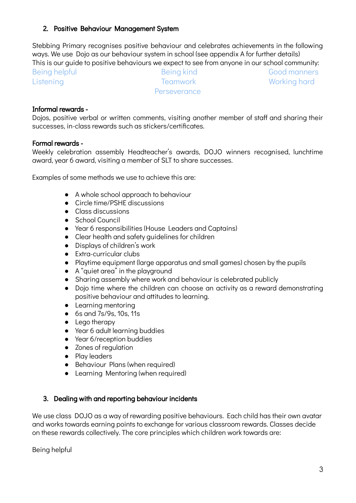## 2. Positive Behaviour Management System

Stebbing Primary recognises positive behaviour and celebrates achievements in the following ways. We use Dojo as our behaviour system in school (see appendix A for further details) This is our guide to positive behaviours we expect to see from anyone in our school community:

Being helpful **Being kind** Being kind Good manners Listening Teamwork Teamwork Working hard **Perseverance** 

#### Informal rewards -

Dojos, positive verbal or written comments, visiting another member of staff and sharing their successes, in-class rewards such as stickers/certificates.

#### Formal rewards -

Weekly celebration assembly Headteacher's awards, DOJO winners recognised, lunchtime award, year 6 award, visiting a member of SLT to share successes.

Examples of some methods we use to achieve this are:

- A whole school approach to behaviour
- Circle time/PSHF discussions
- Class discussions
- School Council
- Year 6 responsibilities (House Leaders and Captains)
- Clear health and safety guidelines for children
- Displays of children's work
- Extra-curricular clubs
- Playtime equipment (large apparatus and small games) chosen by the pupils
- A "quiet area" in the playground
- Sharing assembly where work and behaviour is celebrated publicly
- Dojo time where the children can choose an activity as a reward demonstrating positive behaviour and attitudes to learning.
- Learning mentoring
- 6s and 7s/9s, 10s, 11s
- Lego therapy
- Year 6 adult learning buddies
- Year 6/reception buddies
- Zones of regulation
- Play leaders
- Behaviour Plans (when required)
- Learning Mentoring (when required)

### 3. Dealing with and reporting behaviour incidents

We use class DOJO as a way of rewarding positive behaviours. Each child has their own avatar and works towards earning points to exchange for various classroom rewards. Classes decide on these rewards collectively. The core principles which children work towards are:

Being helpful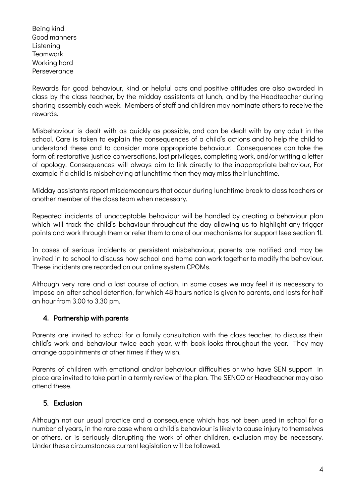Being kind Good manners Listening Teamwork Working hard Perseverance

Rewards for good behaviour, kind or helpful acts and positive attitudes are also awarded in class by the class teacher, by the midday assistants at lunch, and by the Headteacher during sharing assembly each week. Members of staff and children may nominate others to receive the rewards.

Misbehaviour is dealt with as quickly as possible, and can be dealt with by any adult in the school. Care is taken to explain the consequences of a child's actions and to help the child to understand these and to consider more appropriate behaviour. Consequences can take the form of: restorative justice conversations, lost privileges, completing work, and/or writing a letter of apology. Consequences will always aim to link directly to the inappropriate behaviour, For example if a child is misbehaving at lunchtime then they may miss their lunchtime.

Midday assistants report misdemeanours that occur during lunchtime break to class teachers or another member of the class team when necessary.

Repeated incidents of unacceptable behaviour will be handled by creating a behaviour plan which will track the child's behaviour throughout the day allowing us to highlight any trigger points and work through them or refer them to one of our mechanisms for support (see section 1).

In cases of serious incidents or persistent misbehaviour, parents are notified and may be invited in to school to discuss how school and home can work together to modify the behaviour. These incidents are recorded on our online system CPOMs.

Although very rare and a last course of action, in some cases we may feel it is necessary to impose an after school detention, for which 48 hours notice is given to parents, and lasts for half an hour from 3.00 to 3.30 pm.

# 4. Partnership with parents

Parents are invited to school for a family consultation with the class teacher, to discuss their child's work and behaviour twice each year, with book looks throughout the year. They may arrange appointments at other times if they wish.

Parents of children with emotional and/or behaviour difficulties or who have SEN support in place are invited to take part in a termly review of the plan. The SENCO or Headteacher may also attend these.

# 5. Exclusion

Although not our usual practice and a consequence which has not been used in school for a number of years, in the rare case where a child's behaviour is likely to cause injury to themselves or others, or is seriously disrupting the work of other children, exclusion may be necessary. Under these circumstances current legislation will be followed.